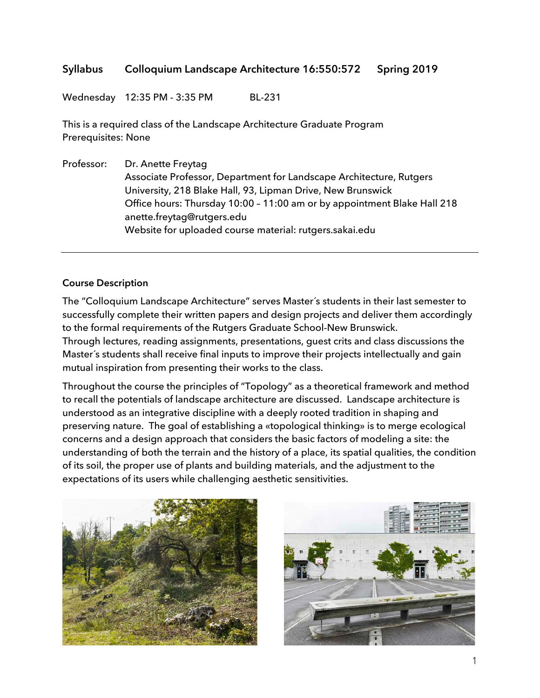# **Syllabus Colloquium Landscape Architecture 16:550:572 Spring 2019**

Wednesday 12:35 PM - 3:35 PM BL-231

This is a required class of the Landscape Architecture Graduate Program Prerequisites: None

Professor: Dr. Anette Freytag Associate Professor, Department for Landscape Architecture, Rutgers University, 218 Blake Hall, 93, Lipman Drive, New Brunswick Office hours: Thursday 10:00 – 11:00 am or by appointment Blake Hall 218 anette.freytag@rutgers.edu Website for uploaded course material: rutgers.sakai.edu

#### **Course Description**

The "Colloquium Landscape Architecture" serves Master´s students in their last semester to successfully complete their written papers and design projects and deliver them accordingly to the formal requirements of the Rutgers Graduate School-New Brunswick. Through lectures, reading assignments, presentations, guest crits and class discussions the Master´s students shall receive final inputs to improve their projects intellectually and gain mutual inspiration from presenting their works to the class.

Throughout the course the principles of "Topology" as a theoretical framework and method to recall the potentials of landscape architecture are discussed. Landscape architecture is understood as an integrative discipline with a deeply rooted tradition in shaping and preserving nature. The goal of establishing a «topological thinking» is to merge ecological concerns and a design approach that considers the basic factors of modeling a site: the understanding of both the terrain and the history of a place, its spatial qualities, the condition of its soil, the proper use of plants and building materials, and the adjustment to the expectations of its users while challenging aesthetic sensitivities.



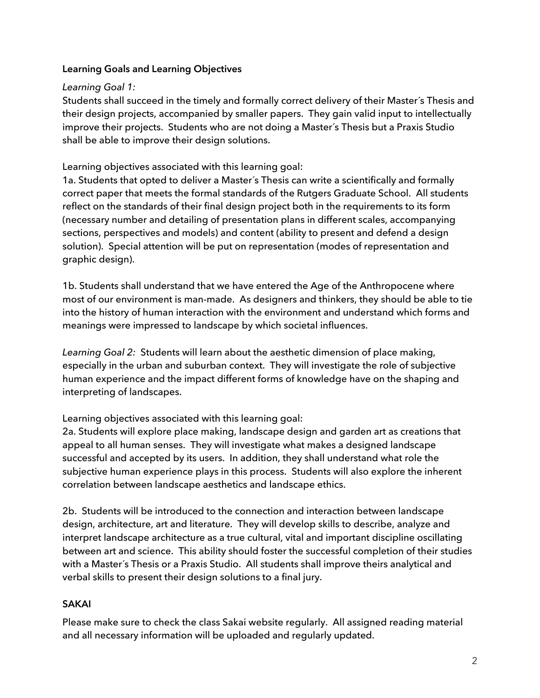## **Learning Goals and Learning Objectives**

## *Learning Goal 1:*

Students shall succeed in the timely and formally correct delivery of their Master´s Thesis and their design projects, accompanied by smaller papers. They gain valid input to intellectually improve their projects. Students who are not doing a Master´s Thesis but a Praxis Studio shall be able to improve their design solutions.

Learning objectives associated with this learning goal:

1a. Students that opted to deliver a Master´s Thesis can write a scientifically and formally correct paper that meets the formal standards of the Rutgers Graduate School. All students reflect on the standards of their final design project both in the requirements to its form (necessary number and detailing of presentation plans in different scales, accompanying sections, perspectives and models) and content (ability to present and defend a design solution). Special attention will be put on representation (modes of representation and graphic design).

1b. Students shall understand that we have entered the Age of the Anthropocene where most of our environment is man-made. As designers and thinkers, they should be able to tie into the history of human interaction with the environment and understand which forms and meanings were impressed to landscape by which societal influences.

*Learning Goal 2:* Students will learn about the aesthetic dimension of place making, especially in the urban and suburban context. They will investigate the role of subjective human experience and the impact different forms of knowledge have on the shaping and interpreting of landscapes.

Learning objectives associated with this learning goal:

2a. Students will explore place making, landscape design and garden art as creations that appeal to all human senses. They will investigate what makes a designed landscape successful and accepted by its users. In addition, they shall understand what role the subjective human experience plays in this process. Students will also explore the inherent correlation between landscape aesthetics and landscape ethics.

2b. Students will be introduced to the connection and interaction between landscape design, architecture, art and literature. They will develop skills to describe, analyze and interpret landscape architecture as a true cultural, vital and important discipline oscillating between art and science. This ability should foster the successful completion of their studies with a Master´s Thesis or a Praxis Studio. All students shall improve theirs analytical and verbal skills to present their design solutions to a final jury.

## **SAKAI**

Please make sure to check the class Sakai website regularly. All assigned reading material and all necessary information will be uploaded and regularly updated.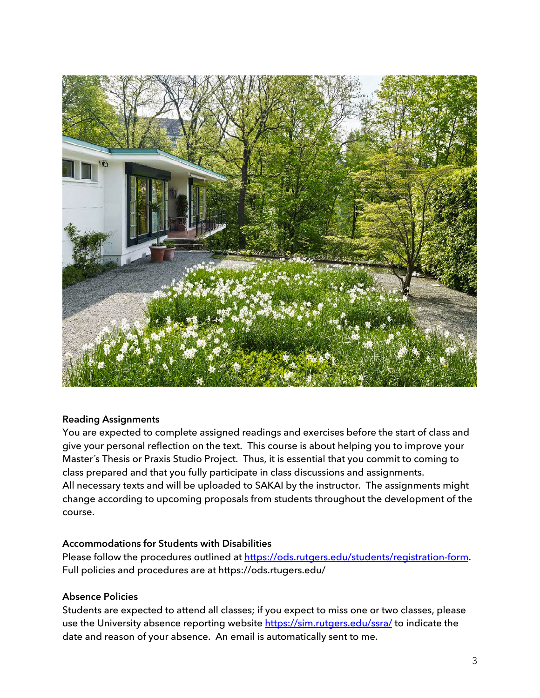

## **Reading Assignments**

You are expected to complete assigned readings and exercises before the start of class and give your personal reflection on the text. This course is about helping you to improve your Master´s Thesis or Praxis Studio Project. Thus, it is essential that you commit to coming to class prepared and that you fully participate in class discussions and assignments. All necessary texts and will be uploaded to SAKAI by the instructor. The assignments might change according to upcoming proposals from students throughout the development of the course.

#### **Accommodations for Students with Disabilities**

Please follow the procedures outlined at https://ods.rutgers.edu/students/registration-form. Full policies and procedures are at https://ods.rtugers.edu/

#### **Absence Policies**

Students are expected to attend all classes; if you expect to miss one or two classes, please use the University absence reporting website https://sim.rutgers.edu/ssra/ to indicate the date and reason of your absence. An email is automatically sent to me.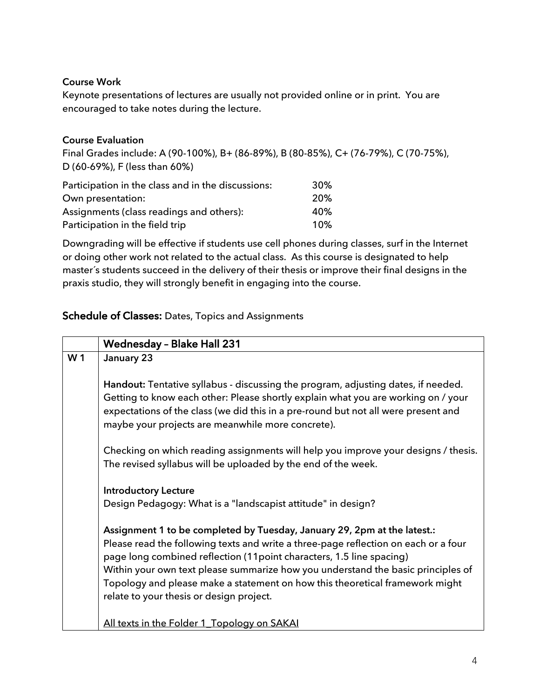# **Course Work**

Keynote presentations of lectures are usually not provided online or in print. You are encouraged to take notes during the lecture.

## **Course Evaluation**

Final Grades include: A (90-100%), B+ (86-89%), B (80-85%), C+ (76-79%), C (70-75%), D (60-69%), F (less than 60%)

| Participation in the class and in the discussions: | 30 <sup>%</sup> |
|----------------------------------------------------|-----------------|
| Own presentation:                                  | <b>20%</b>      |
| Assignments (class readings and others):           | 40%             |
| Participation in the field trip                    | 10%             |

Downgrading will be effective if students use cell phones during classes, surf in the Internet or doing other work not related to the actual class.As this course is designated to help master´s students succeed in the delivery of their thesis or improve their final designs in the praxis studio, they will strongly benefit in engaging into the course.

# Schedule of Classes: Dates, Topics and Assignments

|                | <b>Wednesday - Blake Hall 231</b>                                                                                                                                                                                                                                                                                                                                                                                                                        |
|----------------|----------------------------------------------------------------------------------------------------------------------------------------------------------------------------------------------------------------------------------------------------------------------------------------------------------------------------------------------------------------------------------------------------------------------------------------------------------|
| W <sub>1</sub> | January 23                                                                                                                                                                                                                                                                                                                                                                                                                                               |
|                | Handout: Tentative syllabus - discussing the program, adjusting dates, if needed.<br>Getting to know each other: Please shortly explain what you are working on / your<br>expectations of the class (we did this in a pre-round but not all were present and<br>maybe your projects are meanwhile more concrete).                                                                                                                                        |
|                | Checking on which reading assignments will help you improve your designs / thesis.<br>The revised syllabus will be uploaded by the end of the week.                                                                                                                                                                                                                                                                                                      |
|                | <b>Introductory Lecture</b><br>Design Pedagogy: What is a "landscapist attitude" in design?                                                                                                                                                                                                                                                                                                                                                              |
|                | Assignment 1 to be completed by Tuesday, January 29, 2pm at the latest.:<br>Please read the following texts and write a three-page reflection on each or a four<br>page long combined reflection (11 point characters, 1.5 line spacing)<br>Within your own text please summarize how you understand the basic principles of<br>Topology and please make a statement on how this theoretical framework might<br>relate to your thesis or design project. |
|                | All texts in the Folder 1_Topology on SAKAI                                                                                                                                                                                                                                                                                                                                                                                                              |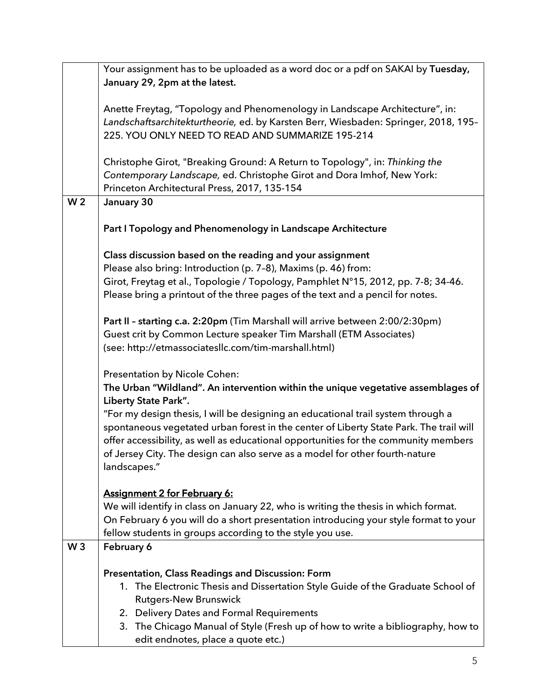|                | Your assignment has to be uploaded as a word doc or a pdf on SAKAI by Tuesday,<br>January 29, 2pm at the latest.                                                                                                                                                                                                                                                  |
|----------------|-------------------------------------------------------------------------------------------------------------------------------------------------------------------------------------------------------------------------------------------------------------------------------------------------------------------------------------------------------------------|
|                | Anette Freytag, "Topology and Phenomenology in Landscape Architecture", in:<br>Landschaftsarchitekturtheorie, ed. by Karsten Berr, Wiesbaden: Springer, 2018, 195-<br>225. YOU ONLY NEED TO READ AND SUMMARIZE 195-214                                                                                                                                            |
|                | Christophe Girot, "Breaking Ground: A Return to Topology", in: Thinking the<br>Contemporary Landscape, ed. Christophe Girot and Dora Imhof, New York:<br>Princeton Architectural Press, 2017, 135-154                                                                                                                                                             |
| W <sub>2</sub> | January 30                                                                                                                                                                                                                                                                                                                                                        |
|                | Part I Topology and Phenomenology in Landscape Architecture                                                                                                                                                                                                                                                                                                       |
|                | Class discussion based on the reading and your assignment                                                                                                                                                                                                                                                                                                         |
|                | Please also bring: Introduction (p. 7-8), Maxims (p. 46) from:                                                                                                                                                                                                                                                                                                    |
|                | Girot, Freytag et al., Topologie / Topology, Pamphlet N°15, 2012, pp. 7-8; 34-46.<br>Please bring a printout of the three pages of the text and a pencil for notes.                                                                                                                                                                                               |
|                | Part II - starting c.a. 2:20pm (Tim Marshall will arrive between 2:00/2:30pm)<br>Guest crit by Common Lecture speaker Tim Marshall (ETM Associates)<br>(see: http://etmassociatesllc.com/tim-marshall.html)                                                                                                                                                       |
|                | <b>Presentation by Nicole Cohen:</b><br>The Urban "Wildland". An intervention within the unique vegetative assemblages of<br>Liberty State Park".                                                                                                                                                                                                                 |
|                | "For my design thesis, I will be designing an educational trail system through a<br>spontaneous vegetated urban forest in the center of Liberty State Park. The trail will<br>offer accessibility, as well as educational opportunities for the community members<br>of Jersey City. The design can also serve as a model for other fourth-nature<br>landscapes." |
|                | <b>Assignment 2 for February 6:</b>                                                                                                                                                                                                                                                                                                                               |
|                | We will identify in class on January 22, who is writing the thesis in which format.                                                                                                                                                                                                                                                                               |
|                | On February 6 you will do a short presentation introducing your style format to your                                                                                                                                                                                                                                                                              |
|                | fellow students in groups according to the style you use.                                                                                                                                                                                                                                                                                                         |
| W <sub>3</sub> | February 6                                                                                                                                                                                                                                                                                                                                                        |
|                | Presentation, Class Readings and Discussion: Form                                                                                                                                                                                                                                                                                                                 |
|                | 1. The Electronic Thesis and Dissertation Style Guide of the Graduate School of                                                                                                                                                                                                                                                                                   |
|                | <b>Rutgers-New Brunswick</b>                                                                                                                                                                                                                                                                                                                                      |
|                | 2. Delivery Dates and Formal Requirements                                                                                                                                                                                                                                                                                                                         |
|                | 3. The Chicago Manual of Style (Fresh up of how to write a bibliography, how to                                                                                                                                                                                                                                                                                   |
|                | edit endnotes, place a quote etc.)                                                                                                                                                                                                                                                                                                                                |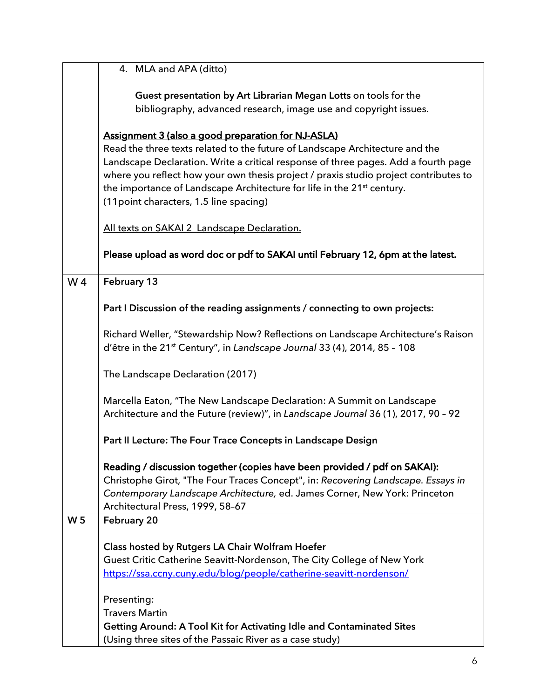|                | 4. MLA and APA (ditto)                                                                                                                                                   |
|----------------|--------------------------------------------------------------------------------------------------------------------------------------------------------------------------|
|                | Guest presentation by Art Librarian Megan Lotts on tools for the                                                                                                         |
|                | bibliography, advanced research, image use and copyright issues.                                                                                                         |
|                | Assignment 3 (also a good preparation for NJ-ASLA)                                                                                                                       |
|                | Read the three texts related to the future of Landscape Architecture and the                                                                                             |
|                | Landscape Declaration. Write a critical response of three pages. Add a fourth page                                                                                       |
|                | where you reflect how your own thesis project / praxis studio project contributes to                                                                                     |
|                | the importance of Landscape Architecture for life in the 21 <sup>st</sup> century.                                                                                       |
|                | (11 point characters, 1.5 line spacing)                                                                                                                                  |
|                | All texts on SAKAI 2 Landscape Declaration.                                                                                                                              |
|                | Please upload as word doc or pdf to SAKAI until February 12, 6pm at the latest.                                                                                          |
| W <sub>4</sub> | February 13                                                                                                                                                              |
|                | Part I Discussion of the reading assignments / connecting to own projects:                                                                                               |
|                | Richard Weller, "Stewardship Now? Reflections on Landscape Architecture's Raison<br>d'être in the 21 <sup>st</sup> Century", in Landscape Journal 33 (4), 2014, 85 - 108 |
|                | The Landscape Declaration (2017)                                                                                                                                         |
|                | Marcella Eaton, "The New Landscape Declaration: A Summit on Landscape<br>Architecture and the Future (review)", in Landscape Journal 36 (1), 2017, 90 - 92               |
|                | Part II Lecture: The Four Trace Concepts in Landscape Design                                                                                                             |
|                | Reading / discussion together (copies have been provided / pdf on SAKAI):                                                                                                |
|                | Christophe Girot, "The Four Traces Concept", in: Recovering Landscape. Essays in                                                                                         |
|                | Contemporary Landscape Architecture, ed. James Corner, New York: Princeton                                                                                               |
|                | Architectural Press, 1999, 58-67                                                                                                                                         |
| <b>W5</b>      | February 20                                                                                                                                                              |
|                | Class hosted by Rutgers LA Chair Wolfram Hoefer                                                                                                                          |
|                | Guest Critic Catherine Seavitt-Nordenson, The City College of New York                                                                                                   |
|                | https://ssa.ccny.cuny.edu/blog/people/catherine-seavitt-nordenson/                                                                                                       |
|                | Presenting:                                                                                                                                                              |
|                | <b>Travers Martin</b>                                                                                                                                                    |
|                | <b>Getting Around: A Tool Kit for Activating Idle and Contaminated Sites</b>                                                                                             |
|                | (Using three sites of the Passaic River as a case study)                                                                                                                 |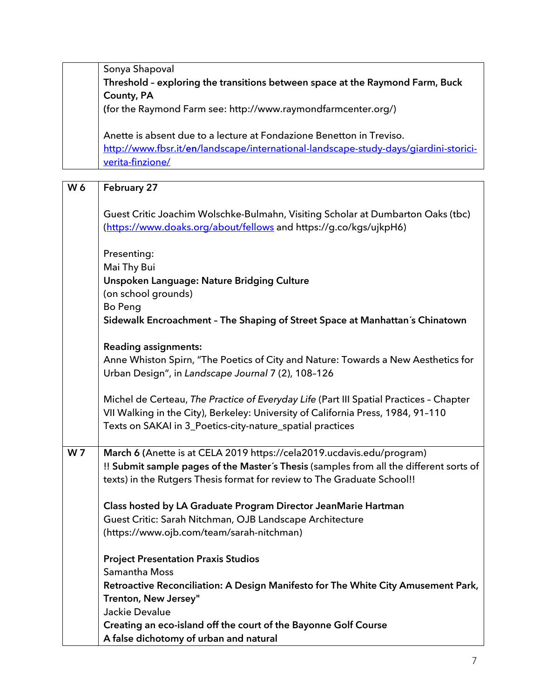Sonya Shapoval **Threshold – exploring the transitions between space at the Raymond Farm, Buck County, PA (**for the Raymond Farm see: http://www.raymondfarmcenter.org/) Anette is absent due to a lecture at Fondazione Benetton in Treviso. http://www.fbsr.it/**en**/landscape/international-landscape-study-days/giardini-storiciverita-finzione/

| W6             | February 27                                                                            |
|----------------|----------------------------------------------------------------------------------------|
|                | Guest Critic Joachim Wolschke-Bulmahn, Visiting Scholar at Dumbarton Oaks (tbc)        |
|                | (https://www.doaks.org/about/fellows and https://g.co/kgs/ujkpH6)                      |
|                |                                                                                        |
|                | Presenting:                                                                            |
|                | Mai Thy Bui<br>Unspoken Language: Nature Bridging Culture                              |
|                | (on school grounds)                                                                    |
|                | <b>Bo Peng</b>                                                                         |
|                | Sidewalk Encroachment - The Shaping of Street Space at Manhattan's Chinatown           |
|                |                                                                                        |
|                | <b>Reading assignments:</b>                                                            |
|                | Anne Whiston Spirn, "The Poetics of City and Nature: Towards a New Aesthetics for      |
|                | Urban Design", in Landscape Journal 7 (2), 108-126                                     |
|                |                                                                                        |
|                | Michel de Certeau, The Practice of Everyday Life (Part III Spatial Practices - Chapter |
|                | VII Walking in the City), Berkeley: University of California Press, 1984, 91-110       |
|                | Texts on SAKAI in 3_Poetics-city-nature_spatial practices                              |
|                |                                                                                        |
| W <sub>7</sub> | March 6 (Anette is at CELA 2019 https://cela2019.ucdavis.edu/program)                  |
|                | !! Submit sample pages of the Master's Thesis (samples from all the different sorts of |
|                | texts) in the Rutgers Thesis format for review to The Graduate School!!                |
|                | Class hosted by LA Graduate Program Director JeanMarie Hartman                         |
|                | Guest Critic: Sarah Nitchman, OJB Landscape Architecture                               |
|                | (https://www.ojb.com/team/sarah-nitchman)                                              |
|                |                                                                                        |
|                | <b>Project Presentation Praxis Studios</b>                                             |
|                | Samantha Moss                                                                          |
|                | Retroactive Reconciliation: A Design Manifesto for The White City Amusement Park,      |
|                | Trenton, New Jersey"                                                                   |
|                | Jackie Devalue                                                                         |
|                | Creating an eco-island off the court of the Bayonne Golf Course                        |
|                | A false dichotomy of urban and natural                                                 |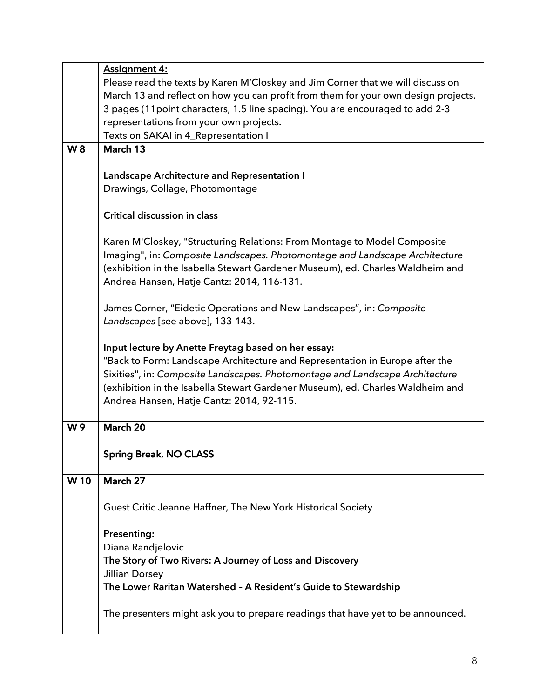|                 | <b>Assignment 4:</b>                                                               |
|-----------------|------------------------------------------------------------------------------------|
|                 | Please read the texts by Karen M'Closkey and Jim Corner that we will discuss on    |
|                 | March 13 and reflect on how you can profit from them for your own design projects. |
|                 | 3 pages (11 point characters, 1.5 line spacing). You are encouraged to add 2-3     |
|                 | representations from your own projects.                                            |
|                 | Texts on SAKAI in 4_Representation I                                               |
| <b>W8</b>       | March 13                                                                           |
|                 |                                                                                    |
|                 | Landscape Architecture and Representation I                                        |
|                 | Drawings, Collage, Photomontage                                                    |
|                 |                                                                                    |
|                 | Critical discussion in class                                                       |
|                 |                                                                                    |
|                 | Karen M'Closkey, "Structuring Relations: From Montage to Model Composite           |
|                 | Imaging", in: Composite Landscapes. Photomontage and Landscape Architecture        |
|                 | (exhibition in the Isabella Stewart Gardener Museum), ed. Charles Waldheim and     |
|                 | Andrea Hansen, Hatje Cantz: 2014, 116-131.                                         |
|                 |                                                                                    |
|                 | James Corner, "Eidetic Operations and New Landscapes", in: Composite               |
|                 | Landscapes [see above], 133-143.                                                   |
|                 | Input lecture by Anette Freytag based on her essay:                                |
|                 | "Back to Form: Landscape Architecture and Representation in Europe after the       |
|                 | Sixities", in: Composite Landscapes. Photomontage and Landscape Architecture       |
|                 | (exhibition in the Isabella Stewart Gardener Museum), ed. Charles Waldheim and     |
|                 | Andrea Hansen, Hatje Cantz: 2014, 92-115.                                          |
|                 |                                                                                    |
| W9              | March 20                                                                           |
|                 |                                                                                    |
|                 | <b>Spring Break. NO CLASS</b>                                                      |
|                 |                                                                                    |
| W <sub>10</sub> | March 27                                                                           |
|                 |                                                                                    |
|                 | Guest Critic Jeanne Haffner, The New York Historical Society                       |
|                 |                                                                                    |
|                 | Presenting:                                                                        |
|                 | Diana Randjelovic                                                                  |
|                 | The Story of Two Rivers: A Journey of Loss and Discovery                           |
|                 | <b>Jillian Dorsey</b>                                                              |
|                 | The Lower Raritan Watershed - A Resident's Guide to Stewardship                    |
|                 | The presenters might ask you to prepare readings that have yet to be announced.    |
|                 |                                                                                    |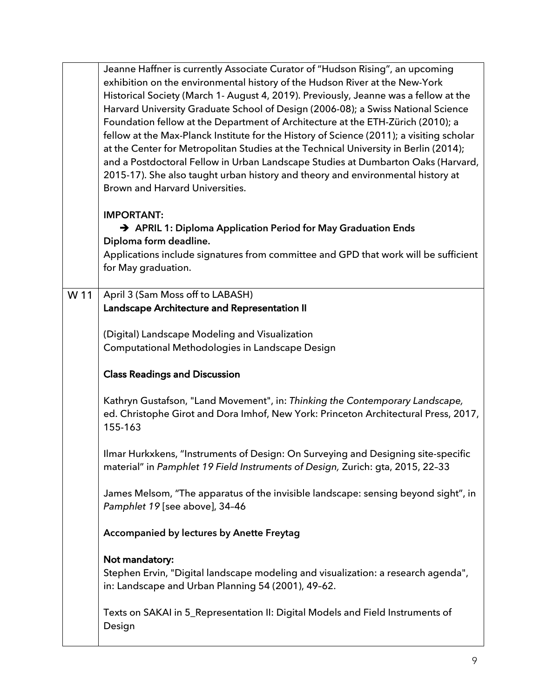|      | Jeanne Haffner is currently Associate Curator of "Hudson Rising", an upcoming<br>exhibition on the environmental history of the Hudson River at the New-York<br>Historical Society (March 1- August 4, 2019). Previously, Jeanne was a fellow at the<br>Harvard University Graduate School of Design (2006-08); a Swiss National Science<br>Foundation fellow at the Department of Architecture at the ETH-Zürich (2010); a<br>fellow at the Max-Planck Institute for the History of Science (2011); a visiting scholar<br>at the Center for Metropolitan Studies at the Technical University in Berlin (2014);<br>and a Postdoctoral Fellow in Urban Landscape Studies at Dumbarton Oaks (Harvard,<br>2015-17). She also taught urban history and theory and environmental history at<br><b>Brown and Harvard Universities.</b> |
|------|----------------------------------------------------------------------------------------------------------------------------------------------------------------------------------------------------------------------------------------------------------------------------------------------------------------------------------------------------------------------------------------------------------------------------------------------------------------------------------------------------------------------------------------------------------------------------------------------------------------------------------------------------------------------------------------------------------------------------------------------------------------------------------------------------------------------------------|
|      | <b>IMPORTANT:</b>                                                                                                                                                                                                                                                                                                                                                                                                                                                                                                                                                                                                                                                                                                                                                                                                                |
|      | → APRIL 1: Diploma Application Period for May Graduation Ends<br>Diploma form deadline.                                                                                                                                                                                                                                                                                                                                                                                                                                                                                                                                                                                                                                                                                                                                          |
|      | Applications include signatures from committee and GPD that work will be sufficient<br>for May graduation.                                                                                                                                                                                                                                                                                                                                                                                                                                                                                                                                                                                                                                                                                                                       |
| W 11 | April 3 (Sam Moss off to LABASH)                                                                                                                                                                                                                                                                                                                                                                                                                                                                                                                                                                                                                                                                                                                                                                                                 |
|      | Landscape Architecture and Representation II                                                                                                                                                                                                                                                                                                                                                                                                                                                                                                                                                                                                                                                                                                                                                                                     |
|      | (Digital) Landscape Modeling and Visualization<br>Computational Methodologies in Landscape Design                                                                                                                                                                                                                                                                                                                                                                                                                                                                                                                                                                                                                                                                                                                                |
|      | <b>Class Readings and Discussion</b>                                                                                                                                                                                                                                                                                                                                                                                                                                                                                                                                                                                                                                                                                                                                                                                             |
|      | Kathryn Gustafson, "Land Movement", in: Thinking the Contemporary Landscape,<br>ed. Christophe Girot and Dora Imhof, New York: Princeton Architectural Press, 2017,<br>155-163                                                                                                                                                                                                                                                                                                                                                                                                                                                                                                                                                                                                                                                   |
|      | Ilmar Hurkxkens, "Instruments of Design: On Surveying and Designing site-specific<br>material" in Pamphlet 19 Field Instruments of Design, Zurich: gta, 2015, 22-33                                                                                                                                                                                                                                                                                                                                                                                                                                                                                                                                                                                                                                                              |
|      | James Melsom, "The apparatus of the invisible landscape: sensing beyond sight", in<br>Pamphlet 19 [see above], 34-46                                                                                                                                                                                                                                                                                                                                                                                                                                                                                                                                                                                                                                                                                                             |
|      | <b>Accompanied by lectures by Anette Freytag</b>                                                                                                                                                                                                                                                                                                                                                                                                                                                                                                                                                                                                                                                                                                                                                                                 |
|      | Not mandatory:<br>Stephen Ervin, "Digital landscape modeling and visualization: a research agenda",<br>in: Landscape and Urban Planning 54 (2001), 49-62.                                                                                                                                                                                                                                                                                                                                                                                                                                                                                                                                                                                                                                                                        |
|      | Texts on SAKAI in 5_Representation II: Digital Models and Field Instruments of<br>Design                                                                                                                                                                                                                                                                                                                                                                                                                                                                                                                                                                                                                                                                                                                                         |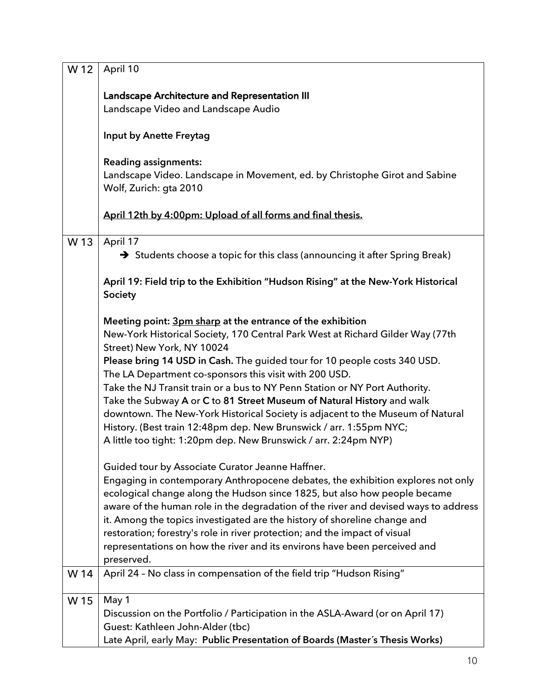| W 12 | April 10                                                                                                                                                                                                                                                                                                                                                                                                                                                                                                                                                      |
|------|---------------------------------------------------------------------------------------------------------------------------------------------------------------------------------------------------------------------------------------------------------------------------------------------------------------------------------------------------------------------------------------------------------------------------------------------------------------------------------------------------------------------------------------------------------------|
|      | <b>Landscape Architecture and Representation III</b><br>Landscape Video and Landscape Audio                                                                                                                                                                                                                                                                                                                                                                                                                                                                   |
|      | Input by Anette Freytag                                                                                                                                                                                                                                                                                                                                                                                                                                                                                                                                       |
|      | <b>Reading assignments:</b><br>Landscape Video. Landscape in Movement, ed. by Christophe Girot and Sabine<br>Wolf, Zurich: gta 2010                                                                                                                                                                                                                                                                                                                                                                                                                           |
|      | April 12th by 4:00pm: Upload of all forms and final thesis.                                                                                                                                                                                                                                                                                                                                                                                                                                                                                                   |
| W 13 | April 17                                                                                                                                                                                                                                                                                                                                                                                                                                                                                                                                                      |
|      | Students choose a topic for this class (announcing it after Spring Break)                                                                                                                                                                                                                                                                                                                                                                                                                                                                                     |
|      | April 19: Field trip to the Exhibition "Hudson Rising" at the New-York Historical<br>Society                                                                                                                                                                                                                                                                                                                                                                                                                                                                  |
|      | Meeting point: 3pm sharp at the entrance of the exhibition<br>New-York Historical Society, 170 Central Park West at Richard Gilder Way (77th<br>Street) New York, NY 10024<br>Please bring 14 USD in Cash. The guided tour for 10 people costs 340 USD.<br>The LA Department co-sponsors this visit with 200 USD.<br>Take the NJ Transit train or a bus to NY Penn Station or NY Port Authority.                                                                                                                                                              |
|      | Take the Subway A or C to 81 Street Museum of Natural History and walk<br>downtown. The New-York Historical Society is adjacent to the Museum of Natural<br>History. (Best train 12:48pm dep. New Brunswick / arr. 1:55pm NYC;<br>A little too tight: 1:20pm dep. New Brunswick / arr. 2:24pm NYP)                                                                                                                                                                                                                                                            |
|      | Guided tour by Associate Curator Jeanne Haffner.<br>Engaging in contemporary Anthropocene debates, the exhibition explores not only<br>ecological change along the Hudson since 1825, but also how people became<br>aware of the human role in the degradation of the river and devised ways to address<br>it. Among the topics investigated are the history of shoreline change and<br>restoration; forestry's role in river protection; and the impact of visual<br>representations on how the river and its environs have been perceived and<br>preserved. |
| W 14 | April 24 - No class in compensation of the field trip "Hudson Rising"                                                                                                                                                                                                                                                                                                                                                                                                                                                                                         |
| W 15 | May 1<br>Discussion on the Portfolio / Participation in the ASLA-Award (or on April 17)<br>Guest: Kathleen John-Alder (tbc)<br>Late April, early May: Public Presentation of Boards (Master's Thesis Works)                                                                                                                                                                                                                                                                                                                                                   |